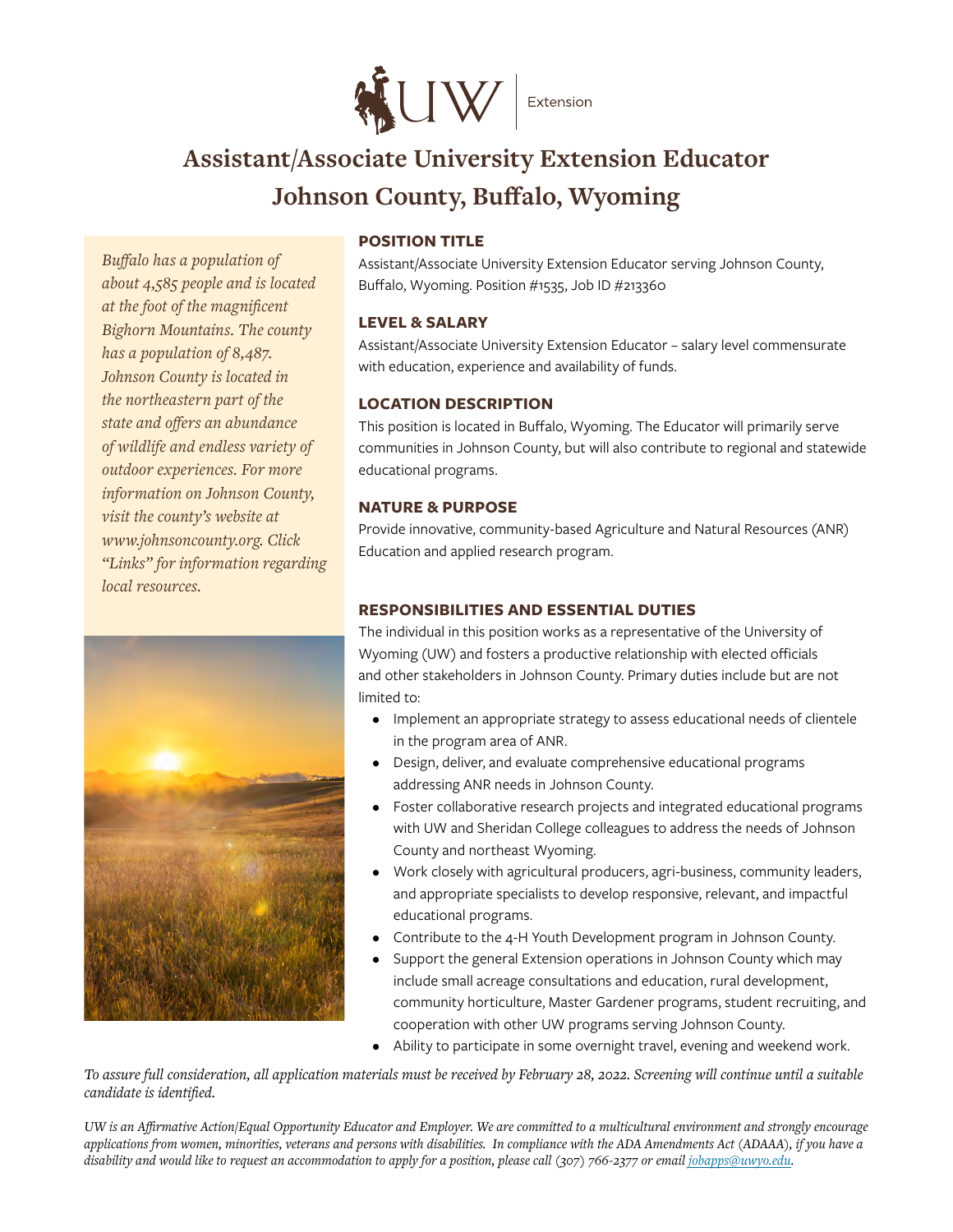

# **Assistant/Associate University Extension Educator Johnson County, Buffalo, Wyoming**

*Buffalo has a population of about 4,585 people and is located at the foot of the magnificent Bighorn Mountains. The county has a population of 8,487. Johnson County is located in the northeastern part of the state and offers an abundance of wildlife and endless variety of outdoor experiences. For more information on Johnson County, visit the county's website at www.johnsoncounty.org. Click "Links" for information regarding local resources.* 



## **POSITION TITLE**

Assistant/Associate University Extension Educator serving Johnson County, Buffalo, Wyoming. Position #1535, Job ID #213360

#### **LEVEL & SALARY**

Assistant/Associate University Extension Educator – salary level commensurate with education, experience and availability of funds.

## **LOCATION DESCRIPTION**

This position is located in Buffalo, Wyoming. The Educator will primarily serve communities in Johnson County, but will also contribute to regional and statewide educational programs.

#### **NATURE & PURPOSE**

Provide innovative, community-based Agriculture and Natural Resources (ANR) Education and applied research program.

## **RESPONSIBILITIES AND ESSENTIAL DUTIES**

The individual in this position works as a representative of the University of Wyoming (UW) and fosters a productive relationship with elected officials and other stakeholders in Johnson County. Primary duties include but are not limited to:

- Implement an appropriate strategy to assess educational needs of clientele in the program area of ANR.
- Design, deliver, and evaluate comprehensive educational programs addressing ANR needs in Johnson County.
- Foster collaborative research projects and integrated educational programs with UW and Sheridan College colleagues to address the needs of Johnson County and northeast Wyoming.
- Work closely with agricultural producers, agri-business, community leaders, and appropriate specialists to develop responsive, relevant, and impactful educational programs.
- Contribute to the 4-H Youth Development program in Johnson County.
- Support the general Extension operations in Johnson County which may include small acreage consultations and education, rural development, community horticulture, Master Gardener programs, student recruiting, and cooperation with other UW programs serving Johnson County.
- Ability to participate in some overnight travel, evening and weekend work.

*To assure full consideration, all application materials must be received by February 28, 2022. Screening will continue until a suitable candidate is identified.*

*UW is an Affirmative Action/Equal Opportunity Educator and Employer. We are committed to a multicultural environment and strongly encourage applications from women, minorities, veterans and persons with disabilities. In compliance with the ADA Amendments Act (ADAAA), if you have a disability and would like to request an accommodation to apply for a position, please call (307) 766-2377 or email jobapps@uwyo.edu.*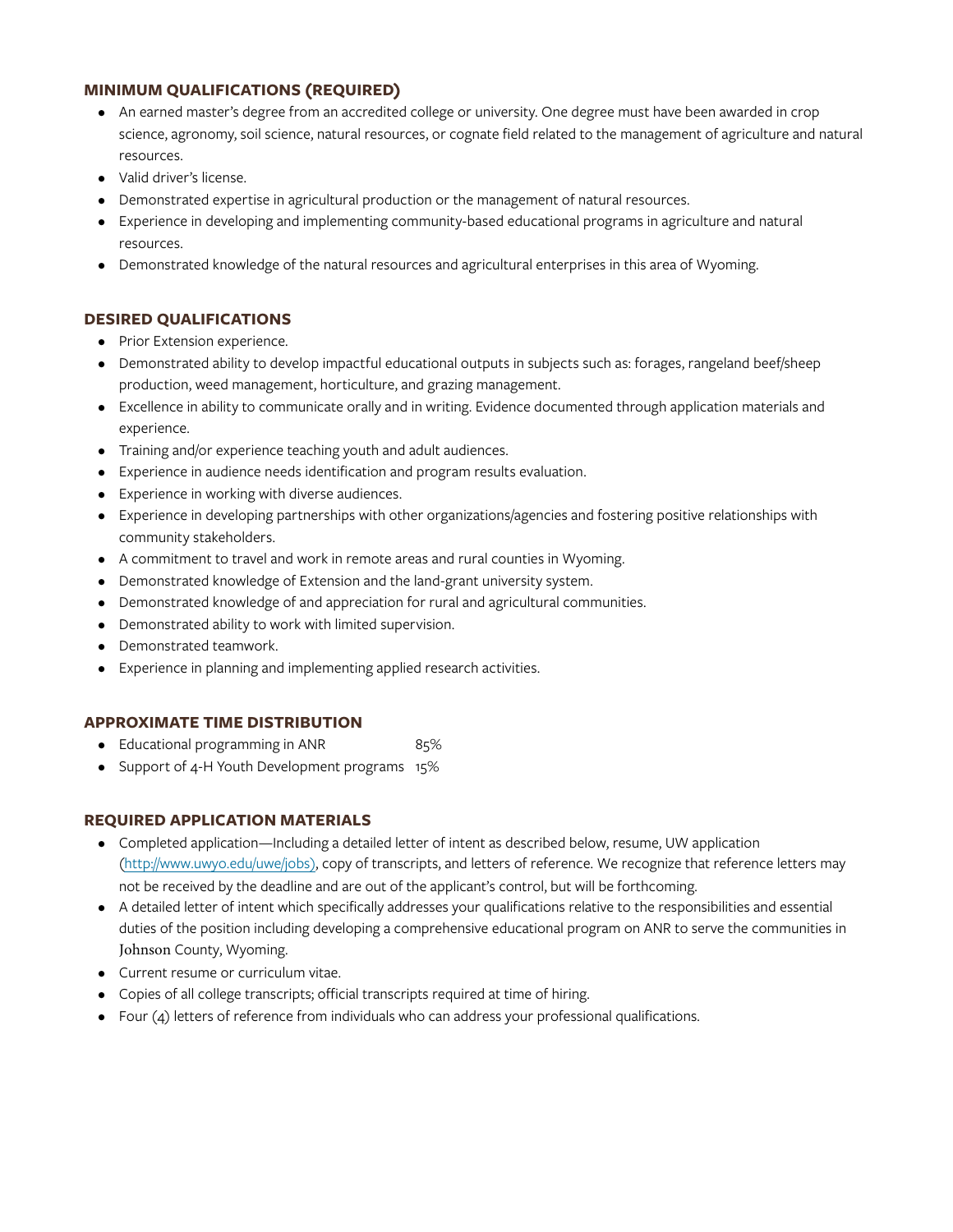## **MINIMUM QUALIFICATIONS (REQUIRED)**

- An earned master's degree from an accredited college or university. One degree must have been awarded in crop science, agronomy, soil science, natural resources, or cognate field related to the management of agriculture and natural resources.
- Valid driver's license.
- Demonstrated expertise in agricultural production or the management of natural resources.
- Experience in developing and implementing community-based educational programs in agriculture and natural resources.
- Demonstrated knowledge of the natural resources and agricultural enterprises in this area of Wyoming.

#### **DESIRED QUALIFICATIONS**

- Prior Extension experience.
- Demonstrated ability to develop impactful educational outputs in subjects such as: forages, rangeland beef/sheep production, weed management, horticulture, and grazing management.
- Excellence in ability to communicate orally and in writing. Evidence documented through application materials and experience.
- Training and/or experience teaching youth and adult audiences.
- Experience in audience needs identification and program results evaluation.
- Experience in working with diverse audiences.
- Experience in developing partnerships with other organizations/agencies and fostering positive relationships with community stakeholders.
- A commitment to travel and work in remote areas and rural counties in Wyoming.
- Demonstrated knowledge of Extension and the land-grant university system.
- Demonstrated knowledge of and appreciation for rural and agricultural communities.
- Demonstrated ability to work with limited supervision.
- Demonstrated teamwork.
- Experience in planning and implementing applied research activities.

#### **APPROXIMATE TIME DISTRIBUTION**

- Educational programming in ANR 85%
- Support of 4-H Youth Development programs 15%

#### **REQUIRED APPLICATION MATERIALS**

- Completed application—Including a detailed letter of intent as described below, resume, UW application (<http://www.uwyo.edu/uwe/jobs>), copy of transcripts, and letters of reference. We recognize that reference letters may not be received by the deadline and are out of the applicant's control, but will be forthcoming.
- A detailed letter of intent which specifically addresses your qualifications relative to the responsibilities and essential duties of the position including developing a comprehensive educational program on ANR to serve the communities in Johnson County, Wyoming.
- Current resume or curriculum vitae.
- Copies of all college transcripts; official transcripts required at time of hiring.
- Four (4) letters of reference from individuals who can address your professional qualifications.